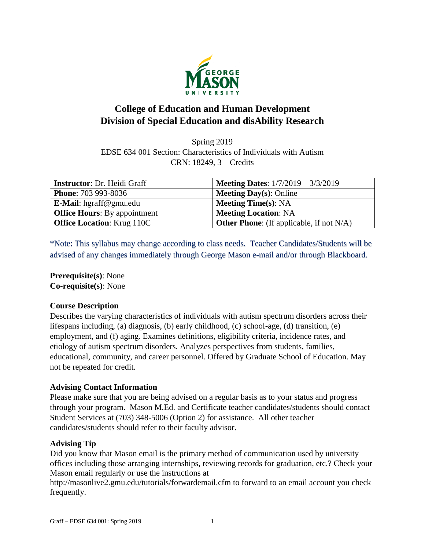

# **College of Education and Human Development Division of Special Education and disAbility Research**

Spring 2019 EDSE 634 001 Section: Characteristics of Individuals with Autism CRN: 18249, 3 – Credits

| <b>Instructor:</b> Dr. Heidi Graff  | <b>Meeting Dates:</b> $1/7/2019 - 3/3/2019$        |
|-------------------------------------|----------------------------------------------------|
| <b>Phone: 703 993-8036</b>          | <b>Meeting Day(s): Online</b>                      |
| E-Mail: hgraff@gmu.edu              | <b>Meeting Time(s): NA</b>                         |
| <b>Office Hours:</b> By appointment | <b>Meeting Location: NA</b>                        |
| <b>Office Location: Krug 110C</b>   | <b>Other Phone:</b> (If applicable, if not $N/A$ ) |

\*Note: This syllabus may change according to class needs. Teacher Candidates/Students will be advised of any changes immediately through George Mason e-mail and/or through Blackboard.

**Prerequisite(s)**: None **Co-requisite(s)**: None

## **Course Description**

Describes the varying characteristics of individuals with autism spectrum disorders across their lifespans including, (a) diagnosis, (b) early childhood, (c) school-age, (d) transition, (e) employment, and (f) aging. Examines definitions, eligibility criteria, incidence rates, and etiology of autism spectrum disorders. Analyzes perspectives from students, families, educational, community, and career personnel. Offered by Graduate School of Education. May not be repeated for credit.

## **Advising Contact Information**

Please make sure that you are being advised on a regular basis as to your status and progress through your program. Mason M.Ed. and Certificate teacher candidates/students should contact Student Services at (703) 348-5006 (Option 2) for assistance. All other teacher candidates/students should refer to their faculty advisor.

## **Advising Tip**

Did you know that Mason email is the primary method of communication used by university offices including those arranging internships, reviewing records for graduation, etc.? Check your Mason email regularly or use the instructions at

http://masonlive2.gmu.edu/tutorials/forwardemail.cfm to forward to an email account you check frequently.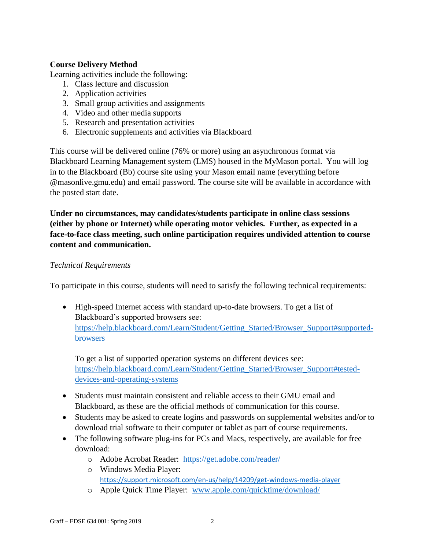# **Course Delivery Method**

Learning activities include the following:

- 1. Class lecture and discussion
- 2. Application activities
- 3. Small group activities and assignments
- 4. Video and other media supports
- 5. Research and presentation activities
- 6. Electronic supplements and activities via Blackboard

This course will be delivered online (76% or more) using an asynchronous format via Blackboard Learning Management system (LMS) housed in the MyMason portal. You will log in to the Blackboard (Bb) course site using your Mason email name (everything before @masonlive.gmu.edu) and email password. The course site will be available in accordance with the posted start date.

**Under no circumstances, may candidates/students participate in online class sessions (either by phone or Internet) while operating motor vehicles. Further, as expected in a face-to-face class meeting, such online participation requires undivided attention to course content and communication.**

### *Technical Requirements*

To participate in this course, students will need to satisfy the following technical requirements:

 High-speed Internet access with standard up-to-date browsers. To get a list of Blackboard's supported browsers see: [https://help.blackboard.com/Learn/Student/Getting\\_Started/Browser\\_Support#supported](https://help.blackboard.com/Learn/Student/Getting_Started/Browser_Support#supported-browsers)[browsers](https://help.blackboard.com/Learn/Student/Getting_Started/Browser_Support#supported-browsers)

To get a list of supported operation systems on different devices see: [https://help.blackboard.com/Learn/Student/Getting\\_Started/Browser\\_Support#tested](https://help.blackboard.com/Learn/Student/Getting_Started/Browser_Support#tested-devices-and-operating-systems)[devices-and-operating-systems](https://help.blackboard.com/Learn/Student/Getting_Started/Browser_Support#tested-devices-and-operating-systems)

- Students must maintain consistent and reliable access to their GMU email and Blackboard, as these are the official methods of communication for this course.
- Students may be asked to create logins and passwords on supplemental websites and/or to download trial software to their computer or tablet as part of course requirements.
- The following software plug-ins for PCs and Macs, respectively, are available for free download:
	- o Adobe Acrobat Reader: <https://get.adobe.com/reader/>
	- o Windows Media Player: <https://support.microsoft.com/en-us/help/14209/get-windows-media-player>
	- o Apple Quick Time Player: [www.apple.com/quicktime/download/](http://www.apple.com/quicktime/download/)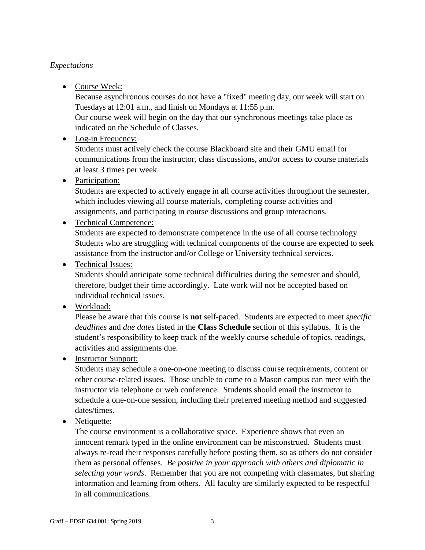# *Expectations*

• Course Week:

Because asynchronous courses do not have a "fixed" meeting day, our week will start on Tuesdays at 12:01 a.m., and finish on Mondays at 11:55 p.m.

Our course week will begin on the day that our synchronous meetings take place as indicated on the Schedule of Classes.

• Log-in Frequency:

Students must actively check the course Blackboard site and their GMU email for communications from the instructor, class discussions, and/or access to course materials at least 3 times per week.

• Participation:

Students are expected to actively engage in all course activities throughout the semester, which includes viewing all course materials, completing course activities and assignments, and participating in course discussions and group interactions.

# • Technical Competence:

Students are expected to demonstrate competence in the use of all course technology. Students who are struggling with technical components of the course are expected to seek assistance from the instructor and/or College or University technical services.

• Technical Issues:

Students should anticipate some technical difficulties during the semester and should, therefore, budget their time accordingly. Late work will not be accepted based on individual technical issues.

• Workload:

Please be aware that this course is **not** self-paced. Students are expected to meet *specific deadlines* and *due dates* listed in the **Class Schedule** section of this syllabus. It is the student's responsibility to keep track of the weekly course schedule of topics, readings, activities and assignments due.

• Instructor Support:

Students may schedule a one-on-one meeting to discuss course requirements, content or other course-related issues. Those unable to come to a Mason campus can meet with the instructor via telephone or web conference. Students should email the instructor to schedule a one-on-one session, including their preferred meeting method and suggested dates/times.

• Netiquette:

The course environment is a collaborative space. Experience shows that even an innocent remark typed in the online environment can be misconstrued. Students must always re-read their responses carefully before posting them, so as others do not consider them as personal offenses. *Be positive in your approach with others and diplomatic in selecting your words*. Remember that you are not competing with classmates, but sharing information and learning from others. All faculty are similarly expected to be respectful in all communications.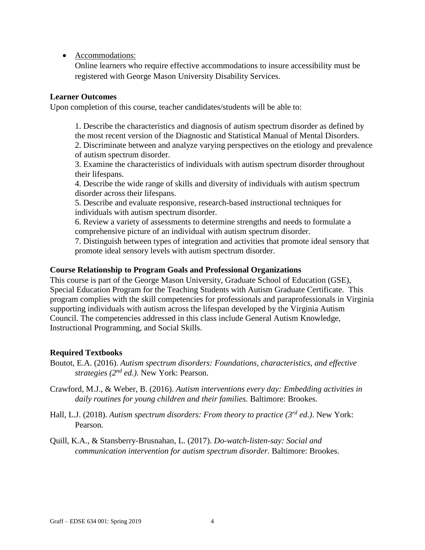• Accommodations:

Online learners who require effective accommodations to insure accessibility must be registered with George Mason University Disability Services.

#### **Learner Outcomes**

Upon completion of this course, teacher candidates/students will be able to:

1. Describe the characteristics and diagnosis of autism spectrum disorder as defined by the most recent version of the Diagnostic and Statistical Manual of Mental Disorders. 2. Discriminate between and analyze varying perspectives on the etiology and prevalence of autism spectrum disorder.

3. Examine the characteristics of individuals with autism spectrum disorder throughout their lifespans.

4. Describe the wide range of skills and diversity of individuals with autism spectrum disorder across their lifespans.

5. Describe and evaluate responsive, research-based instructional techniques for individuals with autism spectrum disorder.

6. Review a variety of assessments to determine strengths and needs to formulate a comprehensive picture of an individual with autism spectrum disorder.

7. Distinguish between types of integration and activities that promote ideal sensory that promote ideal sensory levels with autism spectrum disorder.

### **Course Relationship to Program Goals and Professional Organizations**

This course is part of the George Mason University, Graduate School of Education (GSE), Special Education Program for the Teaching Students with Autism Graduate Certificate. This program complies with the skill competencies for professionals and paraprofessionals in Virginia supporting individuals with autism across the lifespan developed by the Virginia Autism Council. The competencies addressed in this class include General Autism Knowledge, Instructional Programming, and Social Skills.

## **Required Textbooks**

Boutot, E.A. (2016). *Autism spectrum disorders: Foundations, characteristics, and effective strategies (2nd ed.)*. New York: Pearson.

Crawford, M.J., & Weber, B. (2016). *Autism interventions every day: Embedding activities in daily routines for young children and their families.* Baltimore: Brookes.

Hall, L.J. (2018). *Autism spectrum disorders: From theory to practice (3rd ed.)*. New York: Pearson.

Quill, K.A., & Stansberry-Brusnahan, L. (2017). *Do-watch-listen-say: Social and communication intervention for autism spectrum disorder.* Baltimore: Brookes.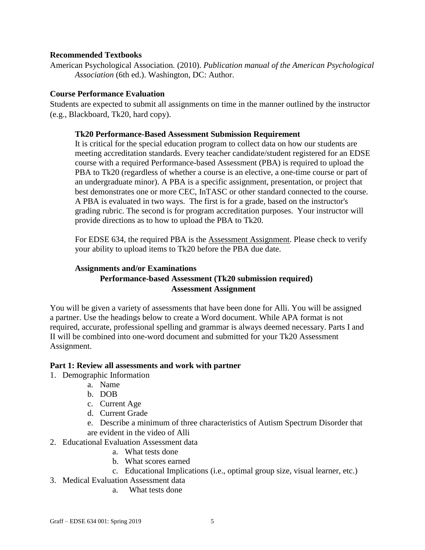#### **Recommended Textbooks**

American Psychological Association*.* (2010). *Publication manual of the American Psychological Association* (6th ed.). Washington, DC: Author.

#### **Course Performance Evaluation**

Students are expected to submit all assignments on time in the manner outlined by the instructor (e.g., Blackboard, Tk20, hard copy).

### **Tk20 Performance-Based Assessment Submission Requirement**

It is critical for the special education program to collect data on how our students are meeting accreditation standards. Every teacher candidate/student registered for an EDSE course with a required Performance-based Assessment (PBA) is required to upload the PBA to Tk20 (regardless of whether a course is an elective, a one-time course or part of an undergraduate minor). A PBA is a specific assignment, presentation, or project that best demonstrates one or more CEC, InTASC or other standard connected to the course. A PBA is evaluated in two ways. The first is for a grade, based on the instructor's grading rubric. The second is for program accreditation purposes. Your instructor will provide directions as to how to upload the PBA to Tk20.

For EDSE 634, the required PBA is the Assessment Assignment. Please check to verify your ability to upload items to Tk20 before the PBA due date.

# **Assignments and/or Examinations Performance-based Assessment (Tk20 submission required) Assessment Assignment**

You will be given a variety of assessments that have been done for Alli. You will be assigned a partner. Use the headings below to create a Word document. While APA format is not required, accurate, professional spelling and grammar is always deemed necessary. Parts I and II will be combined into one-word document and submitted for your Tk20 Assessment Assignment.

#### **Part 1: Review all assessments and work with partner**

- 1. Demographic Information
	- a. Name
		- b. DOB
		- c. Current Age
		- d. Current Grade
		- e. Describe a minimum of three characteristics of Autism Spectrum Disorder that are evident in the video of Alli
- 2. Educational Evaluation Assessment data
	- a. What tests done
	- b. What scores earned
	- c. Educational Implications (i.e., optimal group size, visual learner, etc.)
- 3. Medical Evaluation Assessment data
	- a. What tests done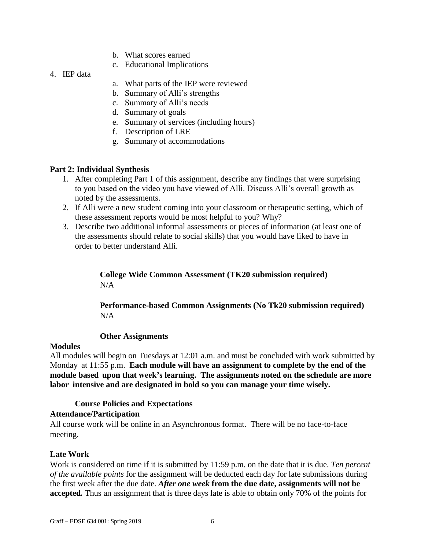- b. What scores earned
- c. Educational Implications
- 4. IEP data
- a. What parts of the IEP were reviewed
- b. Summary of Alli's strengths
- c. Summary of Alli's needs
- d. Summary of goals
- e. Summary of services (including hours)
- f. Description of LRE
- g. Summary of accommodations

### **Part 2: Individual Synthesis**

- 1. After completing Part 1 of this assignment, describe any findings that were surprising to you based on the video you have viewed of Alli. Discuss Alli's overall growth as noted by the assessments.
- 2. If Alli were a new student coming into your classroom or therapeutic setting, which of these assessment reports would be most helpful to you? Why?
- 3. Describe two additional informal assessments or pieces of information (at least one of the assessments should relate to social skills) that you would have liked to have in order to better understand Alli.

**College Wide Common Assessment (TK20 submission required)**  $N/A$ 

## **Performance-based Common Assignments (No Tk20 submission required)**  $N/A$

#### **Other Assignments**

#### **Modules**

All modules will begin on Tuesdays at 12:01 a.m. and must be concluded with work submitted by Monday at 11:55 p.m. **Each module will have an assignment to complete by the end of the module based upon that week's learning. The assignments noted on the schedule are more labor intensive and are designated in bold so you can manage your time wisely.**

#### **Course Policies and Expectations**

#### **Attendance/Participation**

All course work will be online in an Asynchronous format. There will be no face-to-face meeting.

## **Late Work**

Work is considered on time if it is submitted by 11:59 p.m. on the date that it is due. *Ten percent of the available points* for the assignment will be deducted each day for late submissions during the first week after the due date. *After one week* **from the due date, assignments will not be accepted***.* Thus an assignment that is three days late is able to obtain only 70% of the points for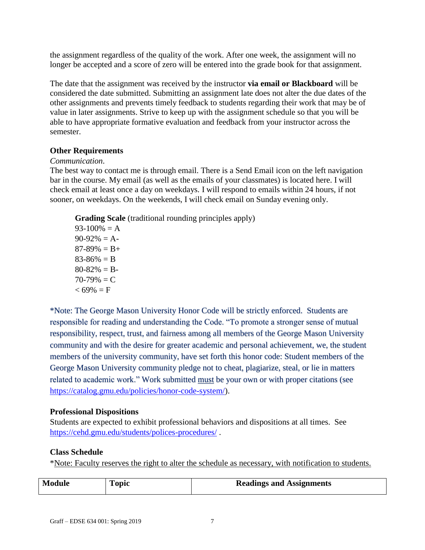the assignment regardless of the quality of the work. After one week, the assignment will no longer be accepted and a score of zero will be entered into the grade book for that assignment.

The date that the assignment was received by the instructor **via email or Blackboard** will be considered the date submitted. Submitting an assignment late does not alter the due dates of the other assignments and prevents timely feedback to students regarding their work that may be of value in later assignments. Strive to keep up with the assignment schedule so that you will be able to have appropriate formative evaluation and feedback from your instructor across the semester.

## **Other Requirements**

## *Communication*.

The best way to contact me is through email. There is a Send Email icon on the left navigation bar in the course. My email (as well as the emails of your classmates) is located here. I will check email at least once a day on weekdays. I will respond to emails within 24 hours, if not sooner, on weekdays. On the weekends, I will check email on Sunday evening only.

**Grading Scale** (traditional rounding principles apply)

 $93-100\% = A$  $90-92\% = A$  $87-89\% = B+$  $83-86\% = B$  $80-82\% = B$  $70-79\% = C$  $< 69\% = F$ 

\*Note: The George Mason University Honor Code will be strictly enforced. Students are responsible for reading and understanding the Code. "To promote a stronger sense of mutual responsibility, respect, trust, and fairness among all members of the George Mason University community and with the desire for greater academic and personal achievement, we, the student members of the university community, have set forth this honor code: Student members of the George Mason University community pledge not to cheat, plagiarize, steal, or lie in matters related to academic work." Work submitted must be your own or with proper citations (see [https://catalog.gmu.edu/policies/honor-code-system/\)](https://catalog.gmu.edu/policies/honor-code-system/).

## **Professional Dispositions**

Students are expected to exhibit professional behaviors and dispositions at all times. See <https://cehd.gmu.edu/students/polices-procedures/> .

# **Class Schedule**

\*Note: Faculty reserves the right to alter the schedule as necessary, with notification to students.

| Module | Topic | <b>Readings and Assignments</b> |
|--------|-------|---------------------------------|
|--------|-------|---------------------------------|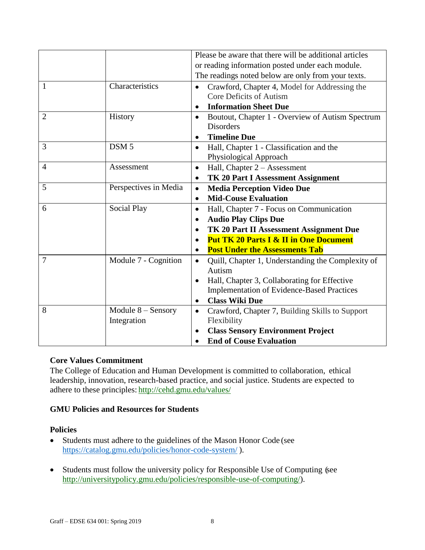|                |                       | Please be aware that there will be additional articles |                                                   |  |  |
|----------------|-----------------------|--------------------------------------------------------|---------------------------------------------------|--|--|
|                |                       | or reading information posted under each module.       |                                                   |  |  |
|                |                       | The readings noted below are only from your texts.     |                                                   |  |  |
| 1              | Characteristics       |                                                        | Crawford, Chapter 4, Model for Addressing the     |  |  |
|                |                       |                                                        | Core Deficits of Autism                           |  |  |
|                |                       | $\bullet$                                              | <b>Information Sheet Due</b>                      |  |  |
| $\overline{2}$ | History               | $\bullet$                                              | Boutout, Chapter 1 - Overview of Autism Spectrum  |  |  |
|                |                       |                                                        | <b>Disorders</b>                                  |  |  |
|                |                       | $\bullet$                                              | <b>Timeline Due</b>                               |  |  |
| 3              | DSM <sub>5</sub>      | $\bullet$                                              | Hall, Chapter 1 - Classification and the          |  |  |
|                |                       |                                                        | Physiological Approach                            |  |  |
| $\overline{4}$ | Assessment            | $\bullet$                                              | Hall, Chapter $2 -$ Assessment                    |  |  |
|                |                       | $\bullet$                                              | <b>TK 20 Part I Assessment Assignment</b>         |  |  |
| 5              | Perspectives in Media | $\bullet$                                              | <b>Media Perception Video Due</b>                 |  |  |
|                |                       | $\bullet$                                              | <b>Mid-Couse Evaluation</b>                       |  |  |
| 6              | <b>Social Play</b>    | $\bullet$                                              | Hall, Chapter 7 - Focus on Communication          |  |  |
|                |                       | $\bullet$                                              | <b>Audio Play Clips Due</b>                       |  |  |
|                |                       | $\bullet$                                              | TK 20 Part II Assessment Assignment Due           |  |  |
|                |                       | $\bullet$                                              | <b>Put TK 20 Parts I &amp; II in One Document</b> |  |  |
|                |                       | $\bullet$                                              | <b>Post Under the Assessments Tab</b>             |  |  |
| $\overline{7}$ | Module 7 - Cognition  | $\bullet$                                              | Quill, Chapter 1, Understanding the Complexity of |  |  |
|                |                       |                                                        | Autism                                            |  |  |
|                |                       | $\bullet$                                              | Hall, Chapter 3, Collaborating for Effective      |  |  |
|                |                       |                                                        | <b>Implementation of Evidence-Based Practices</b> |  |  |
|                |                       | $\bullet$                                              | <b>Class Wiki Due</b>                             |  |  |
| 8              | Module $8 -$ Sensory  | $\bullet$                                              | Crawford, Chapter 7, Building Skills to Support   |  |  |
|                | Integration           |                                                        | Flexibility                                       |  |  |
|                |                       |                                                        | <b>Class Sensory Environment Project</b>          |  |  |
|                |                       |                                                        | <b>End of Couse Evaluation</b>                    |  |  |

## **Core Values Commitment**

The College of Education and Human Development is committed to collaboration, ethical leadership, innovation, research-based practice, and social justice. Students are expected to adhere to these principles: <http://cehd.gmu.edu/values/>

# **GMU Policies and Resources for Students**

#### **Policies**

- Students must adhere to the guidelines of the Mason Honor Code (see <https://catalog.gmu.edu/policies/honor-code-system/> ).
- Students must follow the university policy for Responsible Use of Computing (see [http://universitypolicy.gmu.edu/policies/responsible-use-of-computing/\)](http://universitypolicy.gmu.edu/policies/responsible-use-of-computing/).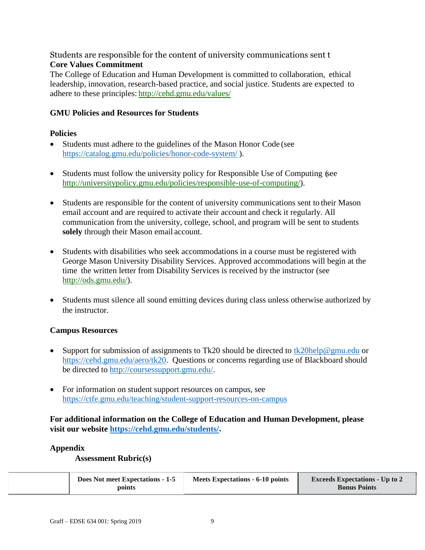# Students are responsible for the content of university communications sent t **Core Values Commitment**

The College of Education and Human Development is committed to collaboration, ethical leadership, innovation, research-based practice, and social justice. Students are expected to adhere to these principles: <http://cehd.gmu.edu/values/>

### **GMU Policies and Resources for Students**

### **Policies**

- Students must adhere to the guidelines of the Mason Honor Code (see <https://catalog.gmu.edu/policies/honor-code-system/> ).
- Students must follow the university policy for Responsible Use of Computing (see [http://universitypolicy.gmu.edu/policies/responsible-use-of-computing/\)](http://universitypolicy.gmu.edu/policies/responsible-use-of-computing/).
- Students are responsible for the content of university communications sent to their Mason email account and are required to activate their account and check it regularly. All communication from the university, college, school, and program will be sent to students **solely** through their Mason email account.
- Students with disabilities who seek accommodations in a course must be registered with George Mason University Disability Services. Approved accommodations will begin at the time the written letter from Disability Services is received by the instructor (see [http://ods.gmu.edu/\)](http://ods.gmu.edu/).
- Students must silence all sound emitting devices during class unless otherwise authorized by the instructor.

## **Campus Resources**

- Support for submission of assignments to Tk20 should be directed to [tk20help@gmu.edu](mailto:tk20help@gmu.edu) or [https://cehd.gmu.edu/aero/tk20.](https://cehd.gmu.edu/aero/tk20) Questions or concerns regarding use of Blackboard should be directed to [http://coursessupport.gmu.edu/.](http://coursessupport.gmu.edu/)
- For information on student support resources on campus, see <https://ctfe.gmu.edu/teaching/student-support-resources-on-campus>

**For additional information on the College of Education and Human Development, please visit our website [https://cehd.gmu.edu/students/.](https://cehd.gmu.edu/students/)**

#### **Appendix**

**Assessment Rubric(s)**

|  | Does Not meet Expectations - 1-5<br>points | Meets Expectations - 6-10 points | <b>Exceeds Expectations - Up to 2</b><br><b>Bonus Points</b> |
|--|--------------------------------------------|----------------------------------|--------------------------------------------------------------|
|--|--------------------------------------------|----------------------------------|--------------------------------------------------------------|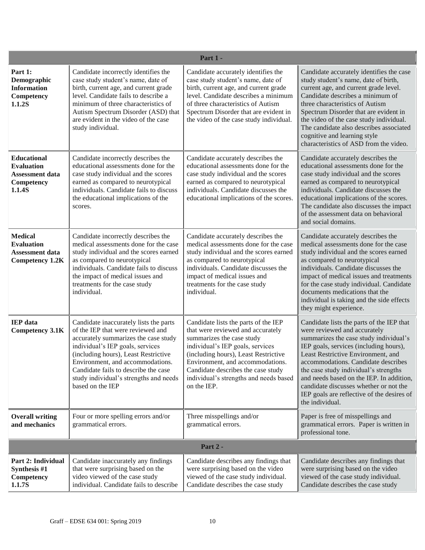| Part 1 -                                                                                  |                                                                                                                                                                                                                                                                                                                                           |                                                                                                                                                                                                                                                                                                                       |                                                                                                                                                                                                                                                                                                                                                                                                                                            |  |
|-------------------------------------------------------------------------------------------|-------------------------------------------------------------------------------------------------------------------------------------------------------------------------------------------------------------------------------------------------------------------------------------------------------------------------------------------|-----------------------------------------------------------------------------------------------------------------------------------------------------------------------------------------------------------------------------------------------------------------------------------------------------------------------|--------------------------------------------------------------------------------------------------------------------------------------------------------------------------------------------------------------------------------------------------------------------------------------------------------------------------------------------------------------------------------------------------------------------------------------------|--|
| Part 1:<br>Demographic<br><b>Information</b><br>Competency<br>1.1.2S                      | Candidate incorrectly identifies the<br>case study student's name, date of<br>birth, current age, and current grade<br>level. Candidate fails to describe a<br>minimum of three characteristics of<br>Autism Spectrum Disorder (ASD) that<br>are evident in the video of the case<br>study individual.                                    | Candidate accurately identifies the<br>case study student's name, date of<br>birth, current age, and current grade<br>level. Candidate describes a minimum<br>of three characteristics of Autism<br>Spectrum Disorder that are evident in<br>the video of the case study individual.                                  | Candidate accurately identifies the case<br>study student's name, date of birth,<br>current age, and current grade level.<br>Candidate describes a minimum of<br>three characteristics of Autism<br>Spectrum Disorder that are evident in<br>the video of the case study individual.<br>The candidate also describes associated<br>cognitive and learning style<br>characteristics of ASD from the video.                                  |  |
| <b>Educational</b><br><b>Evaluation</b><br><b>Assessment data</b><br>Competency<br>1.1.4S | Candidate incorrectly describes the<br>educational assessments done for the<br>case study individual and the scores<br>earned as compared to neurotypical<br>individuals. Candidate fails to discuss<br>the educational implications of the<br>scores.                                                                                    | Candidate accurately describes the<br>educational assessments done for the<br>case study individual and the scores<br>earned as compared to neurotypical<br>individuals. Candidate discusses the<br>educational implications of the scores.                                                                           | Candidate accurately describes the<br>educational assessments done for the<br>case study individual and the scores<br>earned as compared to neurotypical<br>individuals. Candidate discusses the<br>educational implications of the scores.<br>The candidate also discusses the impact<br>of the assessment data on behavioral<br>and social domains.                                                                                      |  |
| <b>Medical</b><br><b>Evaluation</b><br><b>Assessment data</b><br><b>Competency 1.2K</b>   | Candidate incorrectly describes the<br>medical assessments done for the case<br>study individual and the scores earned<br>as compared to neurotypical<br>individuals. Candidate fails to discuss<br>the impact of medical issues and<br>treatments for the case study<br>individual.                                                      | Candidate accurately describes the<br>medical assessments done for the case<br>study individual and the scores earned<br>as compared to neurotypical<br>individuals. Candidate discusses the<br>impact of medical issues and<br>treatments for the case study<br>individual.                                          | Candidate accurately describes the<br>medical assessments done for the case<br>study individual and the scores earned<br>as compared to neurotypical<br>individuals. Candidate discusses the<br>impact of medical issues and treatments<br>for the case study individual. Candidate<br>documents medications that the<br>individual is taking and the side effects<br>they might experience.                                               |  |
| <b>IEP</b> data<br><b>Competency 3.1K</b>                                                 | Candidate inaccurately lists the parts<br>of the IEP that were reviewed and<br>accurately summarizes the case study<br>individual's IEP goals, services<br>(including hours), Least Restrictive<br>Environment, and accommodations.<br>Candidate fails to describe the case<br>study individual's strengths and needs<br>based on the IEP | Candidate lists the parts of the IEP<br>that were reviewed and accurately<br>summarizes the case study<br>individual's IEP goals, services<br>(including hours), Least Restrictive<br>Environment, and accommodations.<br>Candidate describes the case study<br>individual's strengths and needs based<br>on the IEP. | Candidate lists the parts of the IEP that<br>were reviewed and accurately<br>summarizes the case study individual's<br>IEP goals, services (including hours),<br>Least Restrictive Environment, and<br>accommodations. Candidate describes<br>the case study individual's strengths<br>and needs based on the IEP. In addition,<br>candidate discusses whether or not the<br>IEP goals are reflective of the desires of<br>the individual. |  |
| <b>Overall writing</b><br>and mechanics                                                   | Four or more spelling errors and/or<br>grammatical errors.                                                                                                                                                                                                                                                                                | Three misspellings and/or<br>grammatical errors.                                                                                                                                                                                                                                                                      | Paper is free of misspellings and<br>grammatical errors. Paper is written in<br>professional tone.                                                                                                                                                                                                                                                                                                                                         |  |
| Part 2 -                                                                                  |                                                                                                                                                                                                                                                                                                                                           |                                                                                                                                                                                                                                                                                                                       |                                                                                                                                                                                                                                                                                                                                                                                                                                            |  |
| Part 2: Individual<br>Synthesis #1<br>Competency<br>1.1.7S                                | Candidate inaccurately any findings<br>that were surprising based on the<br>video viewed of the case study<br>individual. Candidate fails to describe                                                                                                                                                                                     | Candidate describes any findings that<br>were surprising based on the video<br>viewed of the case study individual.<br>Candidate describes the case study                                                                                                                                                             | Candidate describes any findings that<br>were surprising based on the video<br>viewed of the case study individual.<br>Candidate describes the case study                                                                                                                                                                                                                                                                                  |  |